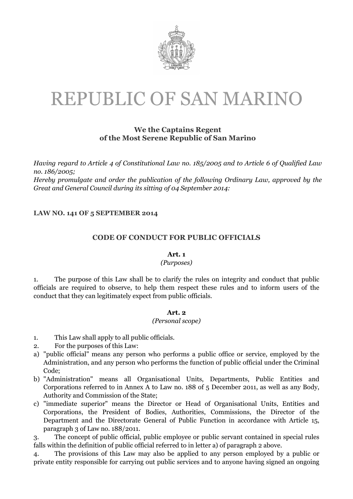

# REPUBLIC OF SAN MARINO

# We the Captains Regent of the Most Serene Republic of San Marino

Having regard to Article 4 of Constitutional Law no. 185/2005 and to Article 6 of Qualified Law no. 186/2005;

Hereby promulgate and order the publication of the following Ordinary Law, approved by the Great and General Council during its sitting of 04 September 2014:

# LAW NO. 141 OF 5 SEPTEMBER 2014

# CODE OF CONDUCT FOR PUBLIC OFFICIALS

#### Art. 1

# (Purposes)

1. The purpose of this Law shall be to clarify the rules on integrity and conduct that public officials are required to observe, to help them respect these rules and to inform users of the conduct that they can legitimately expect from public officials.

#### Art. 2

#### (Personal scope)

- 1. This Law shall apply to all public officials.
- 2. For the purposes of this Law:
- a) "public official" means any person who performs a public office or service, employed by the Administration, and any person who performs the function of public official under the Criminal Code;
- b) "Administration" means all Organisational Units, Departments, Public Entities and Corporations referred to in Annex A to Law no. 188 of 5 December 2011, as well as any Body, Authority and Commission of the State;
- c) "immediate superior" means the Director or Head of Organisational Units, Entities and Corporations, the President of Bodies, Authorities, Commissions, the Director of the Department and the Directorate General of Public Function in accordance with Article 15, paragraph 3 of Law no. 188/2011.

3. The concept of public official, public employee or public servant contained in special rules falls within the definition of public official referred to in letter a) of paragraph 2 above.

4. The provisions of this Law may also be applied to any person employed by a public or private entity responsible for carrying out public services and to anyone having signed an ongoing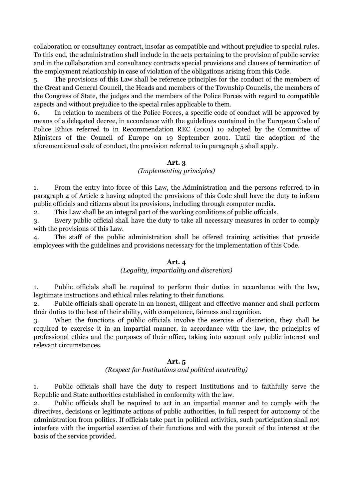collaboration or consultancy contract, insofar as compatible and without prejudice to special rules. To this end, the administration shall include in the acts pertaining to the provision of public service and in the collaboration and consultancy contracts special provisions and clauses of termination of the employment relationship in case of violation of the obligations arising from this Code.

5. The provisions of this Law shall be reference principles for the conduct of the members of the Great and General Council, the Heads and members of the Township Councils, the members of the Congress of State, the judges and the members of the Police Forces with regard to compatible aspects and without prejudice to the special rules applicable to them.

6. In relation to members of the Police Forces, a specific code of conduct will be approved by means of a delegated decree, in accordance with the guidelines contained in the European Code of Police Ethics referred to in Recommendation REC (2001) 10 adopted by the Committee of Ministers of the Council of Europe on 19 September 2001. Until the adoption of the aforementioned code of conduct, the provision referred to in paragraph 5 shall apply.

# Art. 3

#### (Implementing principles)

1. From the entry into force of this Law, the Administration and the persons referred to in paragraph 4 of Article 2 having adopted the provisions of this Code shall have the duty to inform public officials and citizens about its provisions, including through computer media.

2. This Law shall be an integral part of the working conditions of public officials.

3. Every public official shall have the duty to take all necessary measures in order to comply with the provisions of this Law.

4. The staff of the public administration shall be offered training activities that provide employees with the guidelines and provisions necessary for the implementation of this Code.

#### Art. 4

#### (Legality, impartiality and discretion)

1. Public officials shall be required to perform their duties in accordance with the law, legitimate instructions and ethical rules relating to their functions.

2. Public officials shall operate in an honest, diligent and effective manner and shall perform their duties to the best of their ability, with competence, fairness and cognition.

3. When the functions of public officials involve the exercise of discretion, they shall be required to exercise it in an impartial manner, in accordance with the law, the principles of professional ethics and the purposes of their office, taking into account only public interest and relevant circumstances.

# Art. 5

# (Respect for Institutions and political neutrality)

1. Public officials shall have the duty to respect Institutions and to faithfully serve the Republic and State authorities established in conformity with the law.

2. Public officials shall be required to act in an impartial manner and to comply with the directives, decisions or legitimate actions of public authorities, in full respect for autonomy of the administration from politics. If officials take part in political activities, such participation shall not interfere with the impartial exercise of their functions and with the pursuit of the interest at the basis of the service provided.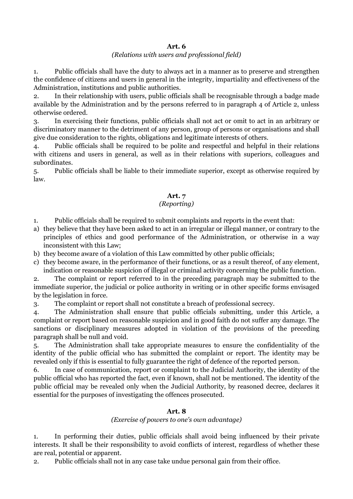# (Relations with users and professional field)

1. Public officials shall have the duty to always act in a manner as to preserve and strengthen the confidence of citizens and users in general in the integrity, impartiality and effectiveness of the Administration, institutions and public authorities.

2. In their relationship with users, public officials shall be recognisable through a badge made available by the Administration and by the persons referred to in paragraph 4 of Article 2, unless otherwise ordered.

3. In exercising their functions, public officials shall not act or omit to act in an arbitrary or discriminatory manner to the detriment of any person, group of persons or organisations and shall give due consideration to the rights, obligations and legitimate interests of others.

4. Public officials shall be required to be polite and respectful and helpful in their relations with citizens and users in general, as well as in their relations with superiors, colleagues and subordinates.

5. Public officials shall be liable to their immediate superior, except as otherwise required by law.

# Art. 7

# (Reporting)

1. Public officials shall be required to submit complaints and reports in the event that:

- a) they believe that they have been asked to act in an irregular or illegal manner, or contrary to the principles of ethics and good performance of the Administration, or otherwise in a way inconsistent with this Law;
- b) they become aware of a violation of this Law committed by other public officials;
- c) they become aware, in the performance of their functions, or as a result thereof, of any element, indication or reasonable suspicion of illegal or criminal activity concerning the public function.

2. The complaint or report referred to in the preceding paragraph may be submitted to the immediate superior, the judicial or police authority in writing or in other specific forms envisaged by the legislation in force.

3. The complaint or report shall not constitute a breach of professional secrecy.

4. The Administration shall ensure that public officials submitting, under this Article, a complaint or report based on reasonable suspicion and in good faith do not suffer any damage. The sanctions or disciplinary measures adopted in violation of the provisions of the preceding paragraph shall be null and void.

5. The Administration shall take appropriate measures to ensure the confidentiality of the identity of the public official who has submitted the complaint or report. The identity may be revealed only if this is essential to fully guarantee the right of defence of the reported person.

6. In case of communication, report or complaint to the Judicial Authority, the identity of the public official who has reported the fact, even if known, shall not be mentioned. The identity of the public official may be revealed only when the Judicial Authority, by reasoned decree, declares it essential for the purposes of investigating the offences prosecuted.

# Art. 8

# (Exercise of powers to one's own advantage)

1. In performing their duties, public officials shall avoid being influenced by their private interests. It shall be their responsibility to avoid conflicts of interest, regardless of whether these are real, potential or apparent.

2. Public officials shall not in any case take undue personal gain from their office.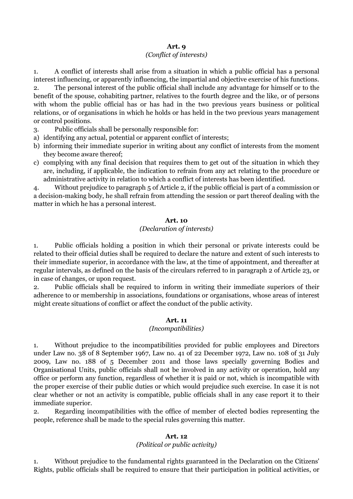# (Conflict of interests)

1. A conflict of interests shall arise from a situation in which a public official has a personal interest influencing, or apparently influencing, the impartial and objective exercise of his functions.

2. The personal interest of the public official shall include any advantage for himself or to the benefit of the spouse, cohabiting partner, relatives to the fourth degree and the like, or of persons with whom the public official has or has had in the two previous years business or political relations, or of organisations in which he holds or has held in the two previous years management or control positions.

3. Public officials shall be personally responsible for:

- a) identifying any actual, potential or apparent conflict of interests;
- b) informing their immediate superior in writing about any conflict of interests from the moment they become aware thereof;
- c) complying with any final decision that requires them to get out of the situation in which they are, including, if applicable, the indication to refrain from any act relating to the procedure or administrative activity in relation to which a conflict of interests has been identified.

4. Without prejudice to paragraph 5 of Article 2, if the public official is part of a commission or a decision-making body, he shall refrain from attending the session or part thereof dealing with the matter in which he has a personal interest.

#### Art. 10

# (Declaration of interests)

1. Public officials holding a position in which their personal or private interests could be related to their official duties shall be required to declare the nature and extent of such interests to their immediate superior, in accordance with the law, at the time of appointment, and thereafter at regular intervals, as defined on the basis of the circulars referred to in paragraph 2 of Article 23, or in case of changes, or upon request.

2. Public officials shall be required to inform in writing their immediate superiors of their adherence to or membership in associations, foundations or organisations, whose areas of interest might create situations of conflict or affect the conduct of the public activity.

# Art. 11

# (Incompatibilities)

1. Without prejudice to the incompatibilities provided for public employees and Directors under Law no. 38 of 8 September 1967, Law no. 41 of 22 December 1972, Law no. 108 of 31 July 2009, Law no. 188 of 5 December 2011 and those laws specially governing Bodies and Organisational Units, public officials shall not be involved in any activity or operation, hold any office or perform any function, regardless of whether it is paid or not, which is incompatible with the proper exercise of their public duties or which would prejudice such exercise. In case it is not clear whether or not an activity is compatible, public officials shall in any case report it to their immediate superior.

2. Regarding incompatibilities with the office of member of elected bodies representing the people, reference shall be made to the special rules governing this matter.

# Art. 12

# (Political or public activity)

1. Without prejudice to the fundamental rights guaranteed in the Declaration on the Citizens' Rights, public officials shall be required to ensure that their participation in political activities, or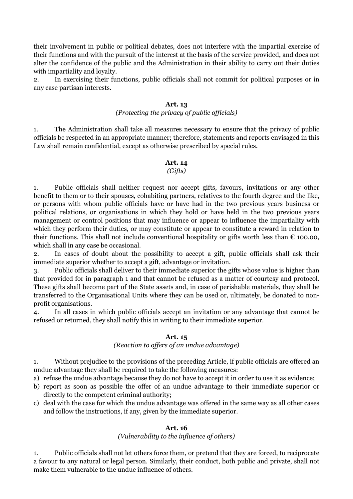their involvement in public or political debates, does not interfere with the impartial exercise of their functions and with the pursuit of the interest at the basis of the service provided, and does not alter the confidence of the public and the Administration in their ability to carry out their duties with impartiality and loyalty.

2. In exercising their functions, public officials shall not commit for political purposes or in any case partisan interests.

#### Art. 13

## (Protecting the privacy of public officials)

1. The Administration shall take all measures necessary to ensure that the privacy of public officials be respected in an appropriate manner; therefore, statements and reports envisaged in this Law shall remain confidential, except as otherwise prescribed by special rules.

# Art. 14

# (Gifts)

1. Public officials shall neither request nor accept gifts, favours, invitations or any other benefit to them or to their spouses, cohabiting partners, relatives to the fourth degree and the like, or persons with whom public officials have or have had in the two previous years business or political relations, or organisations in which they hold or have held in the two previous years management or control positions that may influence or appear to influence the impartiality with which they perform their duties, or may constitute or appear to constitute a reward in relation to their functions. This shall not include conventional hospitality or gifts worth less than  $\epsilon$  100.00, which shall in any case be occasional.

2. In cases of doubt about the possibility to accept a gift, public officials shall ask their immediate superior whether to accept a gift, advantage or invitation.

3. Public officials shall deliver to their immediate superior the gifts whose value is higher than that provided for in paragraph 1 and that cannot be refused as a matter of courtesy and protocol. These gifts shall become part of the State assets and, in case of perishable materials, they shall be transferred to the Organisational Units where they can be used or, ultimately, be donated to nonprofit organisations.

4. In all cases in which public officials accept an invitation or any advantage that cannot be refused or returned, they shall notify this in writing to their immediate superior.

# Art. 15

# (Reaction to offers of an undue advantage)

1. Without prejudice to the provisions of the preceding Article, if public officials are offered an undue advantage they shall be required to take the following measures:

- a) refuse the undue advantage because they do not have to accept it in order to use it as evidence;
- b) report as soon as possible the offer of an undue advantage to their immediate superior or directly to the competent criminal authority;
- c) deal with the case for which the undue advantage was offered in the same way as all other cases and follow the instructions, if any, given by the immediate superior.

# Art. 16

# (Vulnerability to the influence of others)

1. Public officials shall not let others force them, or pretend that they are forced, to reciprocate a favour to any natural or legal person. Similarly, their conduct, both public and private, shall not make them vulnerable to the undue influence of others.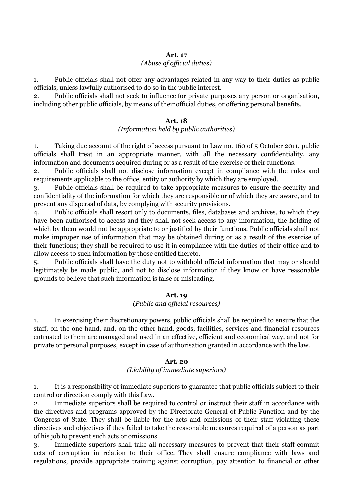#### (Abuse of official duties)

1. Public officials shall not offer any advantages related in any way to their duties as public officials, unless lawfully authorised to do so in the public interest.

2. Public officials shall not seek to influence for private purposes any person or organisation, including other public officials, by means of their official duties, or offering personal benefits.

#### Art. 18

#### (Information held by public authorities)

1. Taking due account of the right of access pursuant to Law no. 160 of 5 October 2011, public officials shall treat in an appropriate manner, with all the necessary confidentiality, any information and documents acquired during or as a result of the exercise of their functions.

2. Public officials shall not disclose information except in compliance with the rules and requirements applicable to the office, entity or authority by which they are employed.

3. Public officials shall be required to take appropriate measures to ensure the security and confidentiality of the information for which they are responsible or of which they are aware, and to prevent any dispersal of data, by complying with security provisions.

4. Public officials shall resort only to documents, files, databases and archives, to which they have been authorised to access and they shall not seek access to any information, the holding of which by them would not be appropriate to or justified by their functions. Public officials shall not make improper use of information that may be obtained during or as a result of the exercise of their functions; they shall be required to use it in compliance with the duties of their office and to allow access to such information by those entitled thereto.

5. Public officials shall have the duty not to withhold official information that may or should legitimately be made public, and not to disclose information if they know or have reasonable grounds to believe that such information is false or misleading.

#### Art. 19

# (Public and official resources)

1. In exercising their discretionary powers, public officials shall be required to ensure that the staff, on the one hand, and, on the other hand, goods, facilities, services and financial resources entrusted to them are managed and used in an effective, efficient and economical way, and not for private or personal purposes, except in case of authorisation granted in accordance with the law.

#### Art. 20

#### (Liability of immediate superiors)

1. It is a responsibility of immediate superiors to guarantee that public officials subject to their control or direction comply with this Law.

2. Immediate superiors shall be required to control or instruct their staff in accordance with the directives and programs approved by the Directorate General of Public Function and by the Congress of State. They shall be liable for the acts and omissions of their staff violating these directives and objectives if they failed to take the reasonable measures required of a person as part of his job to prevent such acts or omissions.

3. Immediate superiors shall take all necessary measures to prevent that their staff commit acts of corruption in relation to their office. They shall ensure compliance with laws and regulations, provide appropriate training against corruption, pay attention to financial or other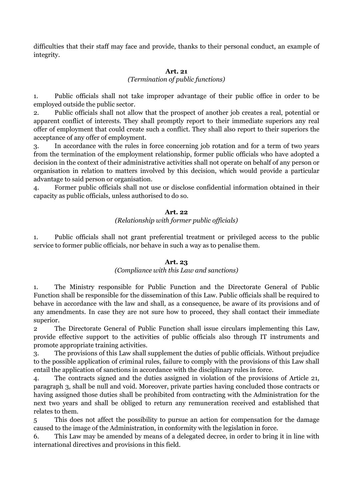difficulties that their staff may face and provide, thanks to their personal conduct, an example of integrity.

## Art. 21

#### (Termination of public functions)

1. Public officials shall not take improper advantage of their public office in order to be employed outside the public sector.

2. Public officials shall not allow that the prospect of another job creates a real, potential or apparent conflict of interests. They shall promptly report to their immediate superiors any real offer of employment that could create such a conflict. They shall also report to their superiors the acceptance of any offer of employment.

3. In accordance with the rules in force concerning job rotation and for a term of two years from the termination of the employment relationship, former public officials who have adopted a decision in the context of their administrative activities shall not operate on behalf of any person or organisation in relation to matters involved by this decision, which would provide a particular advantage to said person or organisation.

4. Former public officials shall not use or disclose confidential information obtained in their capacity as public officials, unless authorised to do so.

# Art. 22

# (Relationship with former public officials)

1. Public officials shall not grant preferential treatment or privileged access to the public service to former public officials, nor behave in such a way as to penalise them.

# Art. 23

# (Compliance with this Law and sanctions)

1. The Ministry responsible for Public Function and the Directorate General of Public Function shall be responsible for the dissemination of this Law. Public officials shall be required to behave in accordance with the law and shall, as a consequence, be aware of its provisions and of any amendments. In case they are not sure how to proceed, they shall contact their immediate superior.

2 The Directorate General of Public Function shall issue circulars implementing this Law, provide effective support to the activities of public officials also through IT instruments and promote appropriate training activities.

3. The provisions of this Law shall supplement the duties of public officials. Without prejudice to the possible application of criminal rules, failure to comply with the provisions of this Law shall entail the application of sanctions in accordance with the disciplinary rules in force.

4. The contracts signed and the duties assigned in violation of the provisions of Article 21, paragraph 3, shall be null and void. Moreover, private parties having concluded those contracts or having assigned those duties shall be prohibited from contracting with the Administration for the next two years and shall be obliged to return any remuneration received and established that relates to them.

5 This does not affect the possibility to pursue an action for compensation for the damage caused to the image of the Administration, in conformity with the legislation in force.

6. This Law may be amended by means of a delegated decree, in order to bring it in line with international directives and provisions in this field.